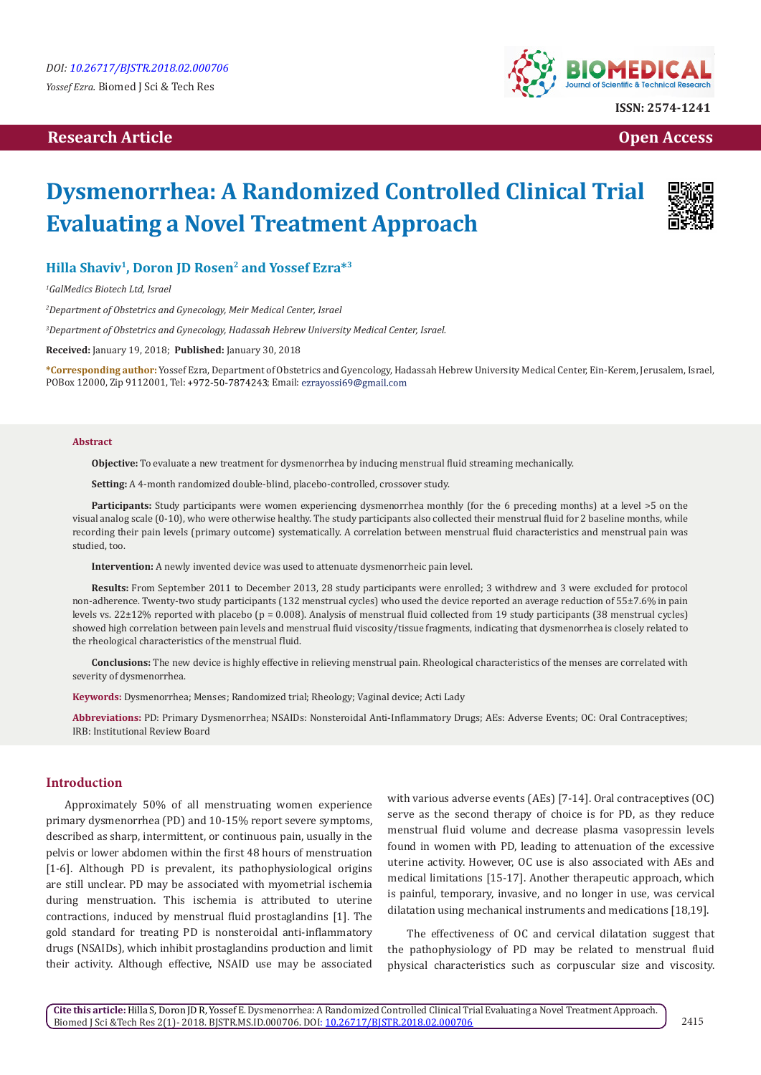# **Research Article Open Access Contract Article Open Access Open Access Open Access**



# **Dysmenorrhea: A Randomized Controlled Clinical Trial Evaluating a Novel Treatment Approach**



**Hilla Shaviv1, Doron JD Rosen2 and Yossef Ezra\*3**

*1 GalMedics Biotech Ltd, Israel*

*2 Department of Obstetrics and Gynecology, Meir Medical Center, Israel*

*3 Department of Obstetrics and Gynecology, Hadassah Hebrew University Medical Center, Israel.*

**Received:** January 19, 2018; **Published:** January 30, 2018

**\*Corresponding author:** Yossef Ezra, Department of Obstetrics and Gyencology, Hadassah Hebrew University Medical Center, Ein-Kerem, Jerusalem, Israel, POBox 12000, Zip 9112001, Tel: +972-50-7874243; Email: ezrayossi69@gmail.com

#### **Abstract**

**Objective:** To evaluate a new treatment for dysmenorrhea by inducing menstrual fluid streaming mechanically.

**Setting:** A 4-month randomized double-blind, placebo-controlled, crossover study.

**Participants:** Study participants were women experiencing dysmenorrhea monthly (for the 6 preceding months) at a level >5 on the visual analog scale (0-10), who were otherwise healthy. The study participants also collected their menstrual fluid for 2 baseline months, while recording their pain levels (primary outcome) systematically. A correlation between menstrual fluid characteristics and menstrual pain was studied, too.

**Intervention:** A newly invented device was used to attenuate dysmenorrheic pain level.

**Results:** From September 2011 to December 2013, 28 study participants were enrolled; 3 withdrew and 3 were excluded for protocol non-adherence. Twenty-two study participants (132 menstrual cycles) who used the device reported an average reduction of 55±7.6% in pain levels vs. 22±12% reported with placebo (p = 0.008). Analysis of menstrual fluid collected from 19 study participants (38 menstrual cycles) showed high correlation between pain levels and menstrual fluid viscosity/tissue fragments, indicating that dysmenorrhea is closely related to the rheological characteristics of the menstrual fluid.

**Conclusions:** The new device is highly effective in relieving menstrual pain. Rheological characteristics of the menses are correlated with severity of dysmenorrhea.

**Keywords:** Dysmenorrhea; Menses; Randomized trial; Rheology; Vaginal device; Acti Lady

**Abbreviations:** PD: Primary Dysmenorrhea; NSAIDs: Nonsteroidal Anti-Inflammatory Drugs; AEs: Adverse Events; OC: Oral Contraceptives; IRB: Institutional Review Board

## **Introduction**

Approximately 50% of all menstruating women experience primary dysmenorrhea (PD) and 10-15% report severe symptoms, described as sharp, intermittent, or continuous pain, usually in the pelvis or lower abdomen within the first 48 hours of menstruation [1-6]. Although PD is prevalent, its pathophysiological origins are still unclear. PD may be associated with myometrial ischemia during menstruation. This ischemia is attributed to uterine contractions, induced by menstrual fluid prostaglandins [1]. The gold standard for treating PD is nonsteroidal anti-inflammatory drugs (NSAIDs), which inhibit prostaglandins production and limit their activity. Although effective, NSAID use may be associated

with various adverse events (AEs) [7-14]. Oral contraceptives (OC) serve as the second therapy of choice is for PD, as they reduce menstrual fluid volume and decrease plasma vasopressin levels found in women with PD, leading to attenuation of the excessive uterine activity. However, OC use is also associated with AEs and medical limitations [15-17]. Another therapeutic approach, which is painful, temporary, invasive, and no longer in use, was cervical dilatation using mechanical instruments and medications [18,19].

The effectiveness of OC and cervical dilatation suggest that the pathophysiology of PD may be related to menstrual fluid physical characteristics such as corpuscular size and viscosity.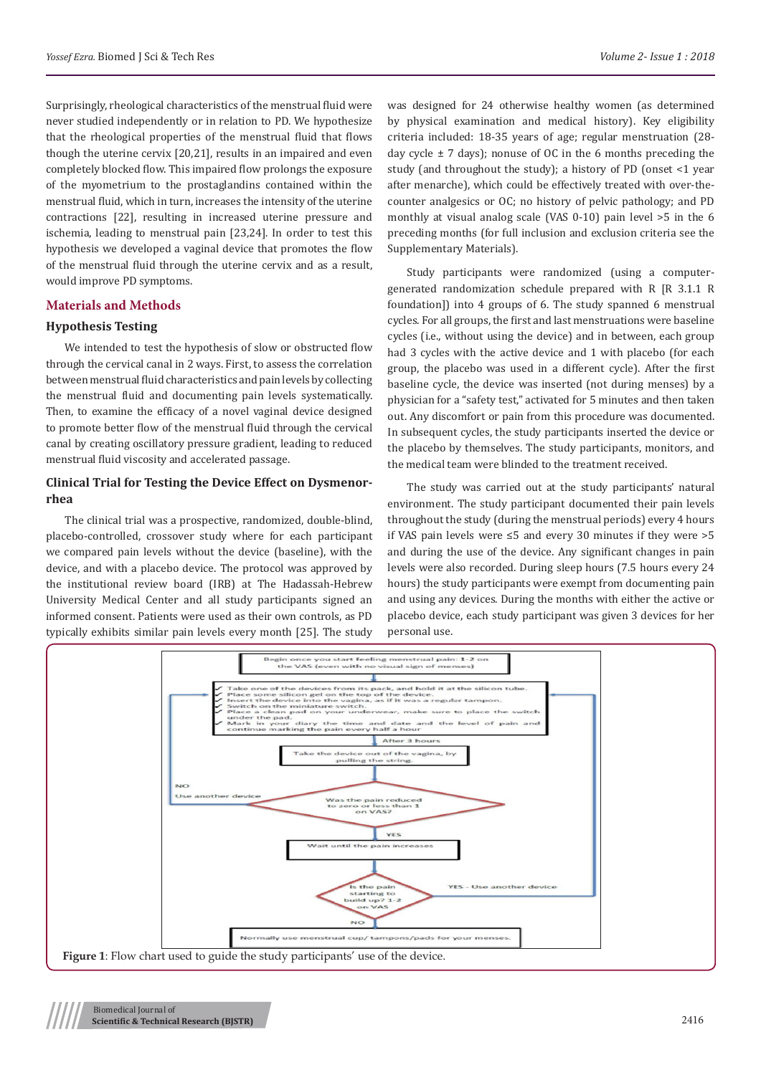Surprisingly, rheological characteristics of the menstrual fluid were never studied independently or in relation to PD. We hypothesize that the rheological properties of the menstrual fluid that flows though the uterine cervix [20,21], results in an impaired and even completely blocked flow. This impaired flow prolongs the exposure of the myometrium to the prostaglandins contained within the menstrual fluid, which in turn, increases the intensity of the uterine contractions [22], resulting in increased uterine pressure and ischemia, leading to menstrual pain [23,24]. In order to test this hypothesis we developed a vaginal device that promotes the flow of the menstrual fluid through the uterine cervix and as a result, would improve PD symptoms.

# **Materials and Methods**

# **Hypothesis Testing**

We intended to test the hypothesis of slow or obstructed flow through the cervical canal in 2 ways. First, to assess the correlation between menstrual fluid characteristics and pain levels by collecting the menstrual fluid and documenting pain levels systematically. Then, to examine the efficacy of a novel vaginal device designed to promote better flow of the menstrual fluid through the cervical canal by creating oscillatory pressure gradient, leading to reduced menstrual fluid viscosity and accelerated passage.

# **Clinical Trial for Testing the Device Effect on Dysmenorrhea**

The clinical trial was a prospective, randomized, double-blind, placebo-controlled, crossover study where for each participant we compared pain levels without the device (baseline), with the device, and with a placebo device. The protocol was approved by the institutional review board (IRB) at The Hadassah-Hebrew University Medical Center and all study participants signed an informed consent. Patients were used as their own controls, as PD typically exhibits similar pain levels every month [25]. The study

was designed for 24 otherwise healthy women (as determined by physical examination and medical history). Key eligibility criteria included: 18-35 years of age; regular menstruation (28 day cycle  $\pm$  7 days); nonuse of OC in the 6 months preceding the study (and throughout the study); a history of PD (onset <1 year after menarche), which could be effectively treated with over-thecounter analgesics or OC; no history of pelvic pathology; and PD monthly at visual analog scale (VAS 0-10) pain level >5 in the 6 preceding months (for full inclusion and exclusion criteria see the Supplementary Materials).

Study participants were randomized (using a computergenerated randomization schedule prepared with R [R 3.1.1 R foundation]) into 4 groups of 6. The study spanned 6 menstrual cycles. For all groups, the first and last menstruations were baseline cycles (i.e., without using the device) and in between, each group had 3 cycles with the active device and 1 with placebo (for each group, the placebo was used in a different cycle). After the first baseline cycle, the device was inserted (not during menses) by a physician for a "safety test," activated for 5 minutes and then taken out. Any discomfort or pain from this procedure was documented. In subsequent cycles, the study participants inserted the device or the placebo by themselves. The study participants, monitors, and the medical team were blinded to the treatment received.

The study was carried out at the study participants' natural environment. The study participant documented their pain levels throughout the study (during the menstrual periods) every 4 hours if VAS pain levels were ≤5 and every 30 minutes if they were >5 and during the use of the device. Any significant changes in pain levels were also recorded. During sleep hours (7.5 hours every 24 hours) the study participants were exempt from documenting pain and using any devices. During the months with either the active or placebo device, each study participant was given 3 devices for her personal use.

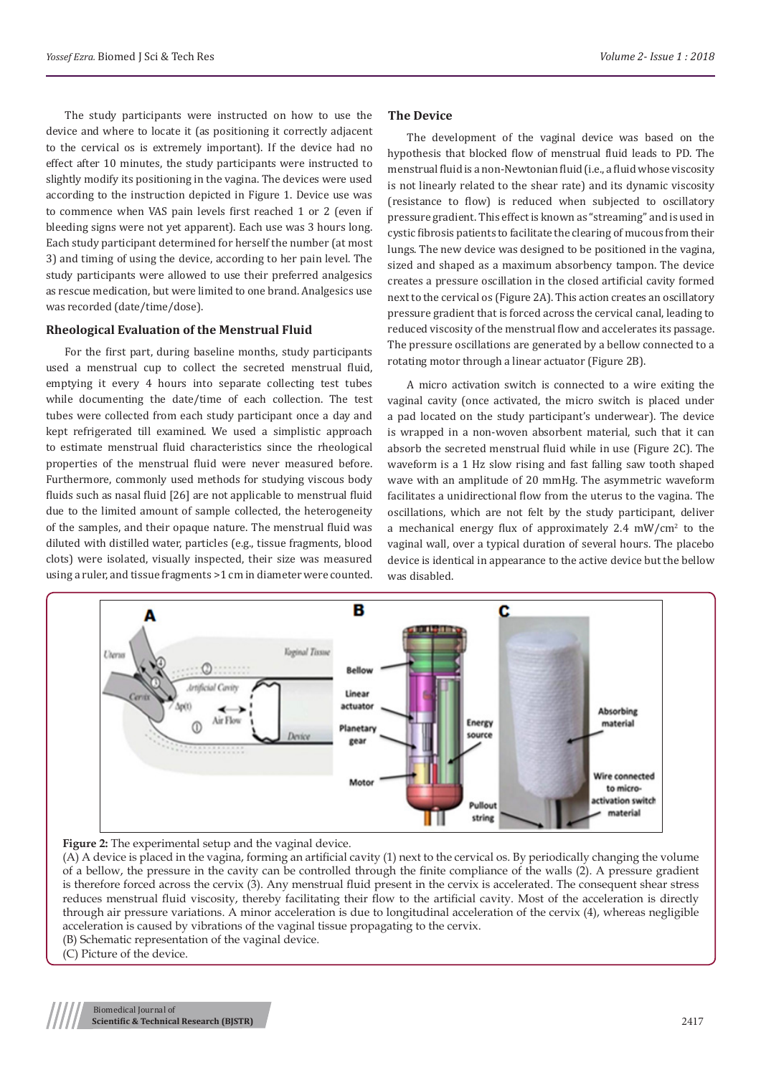The study participants were instructed on how to use the device and where to locate it (as positioning it correctly adjacent to the cervical os is extremely important). If the device had no effect after 10 minutes, the study participants were instructed to slightly modify its positioning in the vagina. The devices were used according to the instruction depicted in Figure 1. Device use was to commence when VAS pain levels first reached 1 or 2 (even if bleeding signs were not yet apparent). Each use was 3 hours long. Each study participant determined for herself the number (at most 3) and timing of using the device, according to her pain level. The study participants were allowed to use their preferred analgesics as rescue medication, but were limited to one brand. Analgesics use was recorded (date/time/dose).

# **Rheological Evaluation of the Menstrual Fluid**

For the first part, during baseline months, study participants used a menstrual cup to collect the secreted menstrual fluid, emptying it every 4 hours into separate collecting test tubes while documenting the date/time of each collection. The test tubes were collected from each study participant once a day and kept refrigerated till examined. We used a simplistic approach to estimate menstrual fluid characteristics since the rheological properties of the menstrual fluid were never measured before. Furthermore, commonly used methods for studying viscous body fluids such as nasal fluid [26] are not applicable to menstrual fluid due to the limited amount of sample collected, the heterogeneity of the samples, and their opaque nature. The menstrual fluid was diluted with distilled water, particles (e.g., tissue fragments, blood clots) were isolated, visually inspected, their size was measured using a ruler, and tissue fragments >1 cm in diameter were counted.

#### **The Device**

The development of the vaginal device was based on the hypothesis that blocked flow of menstrual fluid leads to PD. The menstrual fluid is a non-Newtonian fluid (i.e., a fluid whose viscosity is not linearly related to the shear rate) and its dynamic viscosity (resistance to flow) is reduced when subjected to oscillatory pressure gradient. This effect is known as "streaming" and is used in cystic fibrosis patients to facilitate the clearing of mucous from their lungs. The new device was designed to be positioned in the vagina, sized and shaped as a maximum absorbency tampon. The device creates a pressure oscillation in the closed artificial cavity formed next to the cervical os (Figure 2A). This action creates an oscillatory pressure gradient that is forced across the cervical canal, leading to reduced viscosity of the menstrual flow and accelerates its passage. The pressure oscillations are generated by a bellow connected to a rotating motor through a linear actuator (Figure 2B).

A micro activation switch is connected to a wire exiting the vaginal cavity (once activated, the micro switch is placed under a pad located on the study participant's underwear). The device is wrapped in a non-woven absorbent material, such that it can absorb the secreted menstrual fluid while in use (Figure 2C). The waveform is a 1 Hz slow rising and fast falling saw tooth shaped wave with an amplitude of 20 mmHg. The asymmetric waveform facilitates a unidirectional flow from the uterus to the vagina. The oscillations, which are not felt by the study participant, deliver a mechanical energy flux of approximately 2.4 mW/cm<sup>2</sup> to the vaginal wall, over a typical duration of several hours. The placebo device is identical in appearance to the active device but the bellow was disabled.





(A) A device is placed in the vagina, forming an artificial cavity (1) next to the cervical os. By periodically changing the volume of a bellow, the pressure in the cavity can be controlled through the finite compliance of the walls (2). A pressure gradient is therefore forced across the cervix (3). Any menstrual fluid present in the cervix is accelerated. The consequent shear stress reduces menstrual fluid viscosity, thereby facilitating their flow to the artificial cavity. Most of the acceleration is directly through air pressure variations. A minor acceleration is due to longitudinal acceleration of the cervix (4), whereas negligible acceleration is caused by vibrations of the vaginal tissue propagating to the cervix.

(B) Schematic representation of the vaginal device.

(C) Picture of the device.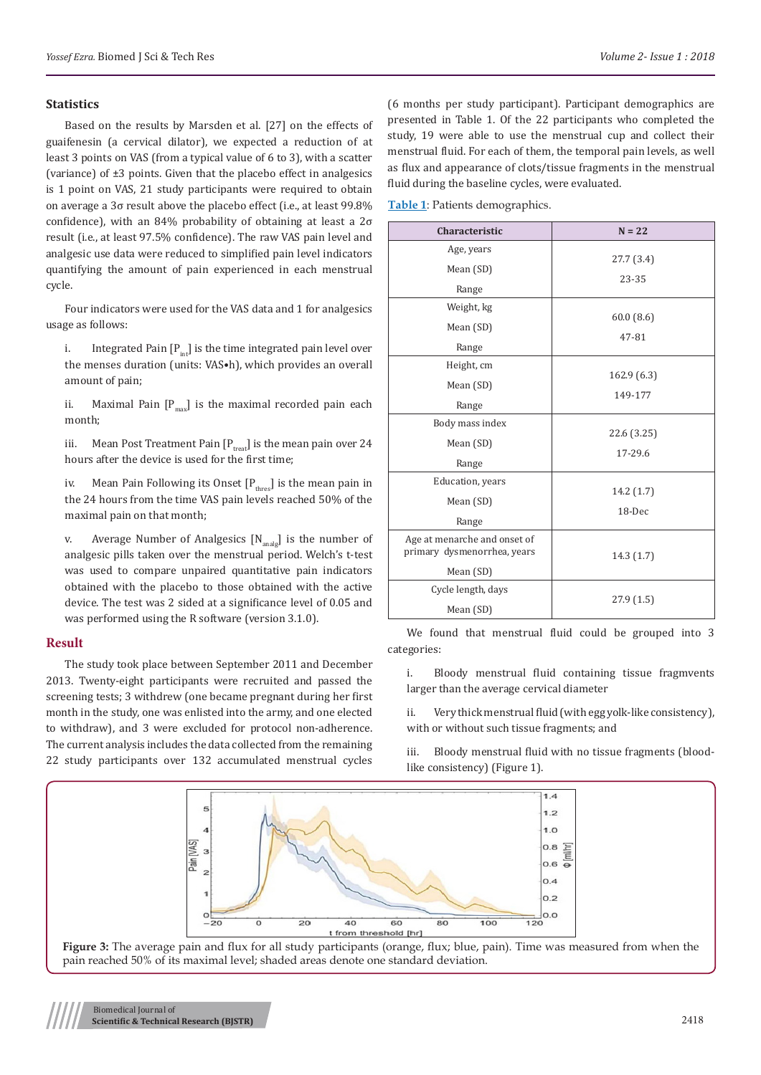## **Statistics**

Based on the results by Marsden et al. [27] on the effects of guaifenesin (a cervical dilator), we expected a reduction of at least 3 points on VAS (from a typical value of 6 to 3), with a scatter (variance) of ±3 points. Given that the placebo effect in analgesics is 1 point on VAS, 21 study participants were required to obtain on average a 3σ result above the placebo effect (i.e., at least 99.8% confidence), with an 84% probability of obtaining at least a 2σ result (i.e., at least 97.5% confidence). The raw VAS pain level and analgesic use data were reduced to simplified pain level indicators quantifying the amount of pain experienced in each menstrual cycle.

Four indicators were used for the VAS data and 1 for analgesics usage as follows:

i. Integrated Pain  $[P_{int}]$  is the time integrated pain level over the menses duration (units: VAS•h), which provides an overall amount of pain;

ii. Maximal Pain  $[P_{max}]$  is the maximal recorded pain each month;

iii. Mean Post Treatment Pain  $[P_{\text{real}}]$  is the mean pain over 24 hours after the device is used for the first time;

iv. Mean Pain Following its Onset  $[P_{thres}]$  is the mean pain in the 24 hours from the time VAS pain levels reached 50% of the maximal pain on that month;

v. Average Number of Analgesics  $[N_{\text{anal}}]$  is the number of analgesic pills taken over the menstrual period. Welch's t-test was used to compare unpaired quantitative pain indicators obtained with the placebo to those obtained with the active device. The test was 2 sided at a significance level of 0.05 and was performed using the R software (version 3.1.0).

### **Result**

The study took place between September 2011 and December 2013. Twenty-eight participants were recruited and passed the screening tests; 3 withdrew (one became pregnant during her first month in the study, one was enlisted into the army, and one elected to withdraw), and 3 were excluded for protocol non-adherence. The current analysis includes the data collected from the remaining 22 study participants over 132 accumulated menstrual cycles

(6 months per study participant). Participant demographics are presented in Table 1. Of the 22 participants who completed the study, 19 were able to use the menstrual cup and collect their menstrual fluid. For each of them, the temporal pain levels, as well as flux and appearance of clots/tissue fragments in the menstrual fluid during the baseline cycles, were evaluated.

**Table 1**: Patients demographics.

| Characteristic                                                           | $N = 22$               |
|--------------------------------------------------------------------------|------------------------|
| Age, years<br>Mean (SD)<br>Range                                         | 27.7(3.4)<br>23-35     |
| Weight, kg<br>Mean (SD)<br>Range                                         | 60.0(8.6)<br>47-81     |
| Height, cm<br>Mean (SD)<br>Range                                         | 162.9(6.3)<br>149-177  |
| Body mass index<br>Mean (SD)<br>Range                                    | 22.6 (3.25)<br>17-29.6 |
| Education, years<br>Mean (SD)<br>Range                                   | 14.2 (1.7)<br>18-Dec   |
| Age at menarche and onset of<br>primary dysmenorrhea, years<br>Mean (SD) | 14.3(1.7)              |
| Cycle length, days<br>Mean (SD)                                          | 27.9(1.5)              |

We found that menstrual fluid could be grouped into 3 categories:

i. Bloody menstrual fluid containing tissue fragmvents larger than the average cervical diameter

ii. Very thick menstrual fluid (with egg yolk-like consistency), with or without such tissue fragments; and

iii. Bloody menstrual fluid with no tissue fragments (bloodlike consistency) (Figure 1).



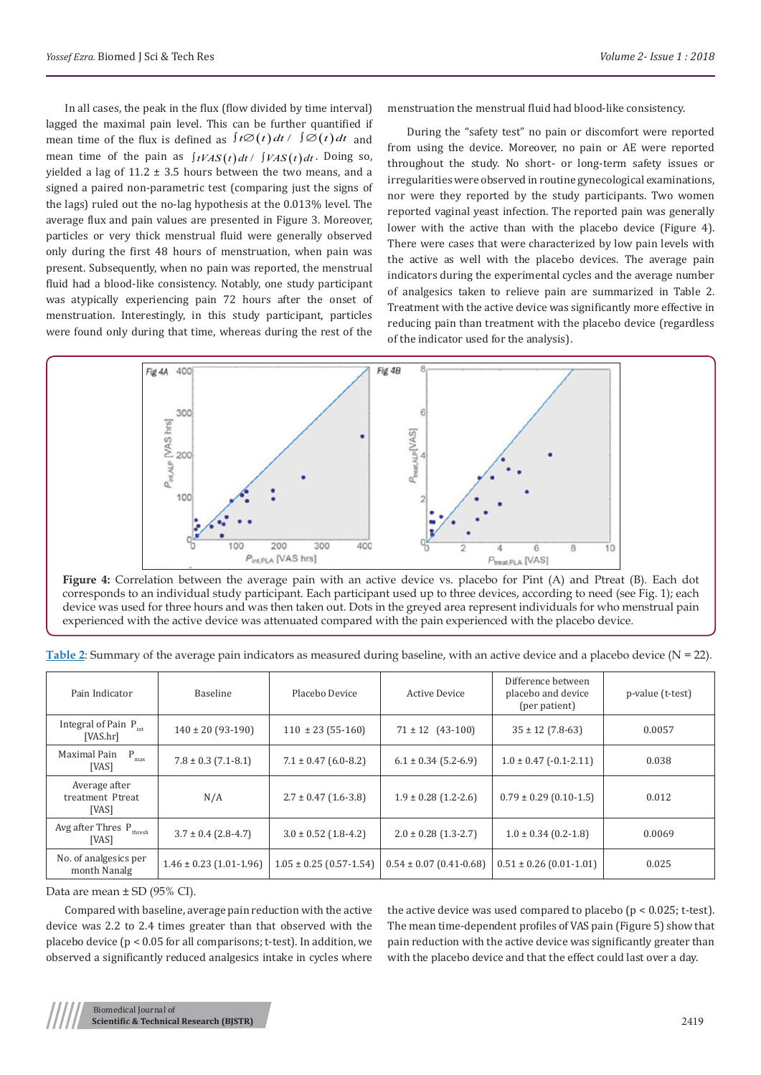In all cases, the peak in the flux (flow divided by time interval) lagged the maximal pain level. This can be further quantified if mean time of the flux is defined as  $\int t\mathcal{D}(t) dt / \int \mathcal{D}(t) dt$  and mean time of the pain as  $\int t VAS(t) dt / \int VAS(t) dt$ . Doing so, yielded a lag of  $11.2 \pm 3.5$  hours between the two means, and a signed a paired non-parametric test (comparing just the signs of the lags) ruled out the no-lag hypothesis at the 0.013% level. The average flux and pain values are presented in Figure 3. Moreover, particles or very thick menstrual fluid were generally observed only during the first 48 hours of menstruation, when pain was present. Subsequently, when no pain was reported, the menstrual fluid had a blood-like consistency. Notably, one study participant was atypically experiencing pain 72 hours after the onset of menstruation. Interestingly, in this study participant, particles were found only during that time, whereas during the rest of the

menstruation the menstrual fluid had blood-like consistency.

During the "safety test" no pain or discomfort were reported from using the device. Moreover, no pain or AE were reported throughout the study. No short- or long-term safety issues or irregularities were observed in routine gynecological examinations, nor were they reported by the study participants. Two women reported vaginal yeast infection. The reported pain was generally lower with the active than with the placebo device (Figure 4). There were cases that were characterized by low pain levels with the active as well with the placebo devices. The average pain indicators during the experimental cycles and the average number of analgesics taken to relieve pain are summarized in Table 2. Treatment with the active device was significantly more effective in reducing pain than treatment with the placebo device (regardless of the indicator used for the analysis).



**Figure 4:** Correlation between the average pain with an active device vs. placebo for Pint (A) and Ptreat (B). Each dot corresponds to an individual study participant. Each participant used up to three devices, according to need (see Fig. 1); each device was used for three hours and was then taken out. Dots in the greyed area represent individuals for who menstrual pain experienced with the active device was attenuated compared with the pain experienced with the placebo device.

| Pain Indicator                                              | Baseline                    | Placebo Device              | <b>Active Device</b>        | Difference between<br>placebo and device<br>(per patient) | p-value (t-test) |
|-------------------------------------------------------------|-----------------------------|-----------------------------|-----------------------------|-----------------------------------------------------------|------------------|
| Integral of Pain $P_{int}$<br>[VAS.hr]                      | $140 \pm 20$ (93-190)       | $110 \pm 23(55-160)$        | $71 \pm 12$ (43-100)        | $35 \pm 12$ (7.8-63)                                      | 0.0057           |
| Maximal Pain<br>$P_{max}$<br><b>TVAST</b>                   | $7.8 \pm 0.3$ (7.1-8.1)     | $7.1 \pm 0.47$ (6.0-8.2)    | $6.1 \pm 0.34$ (5.2-6.9)    | $1.0 \pm 0.47$ (-0.1-2.11)                                | 0.038            |
| Average after<br>treatment Ptreat<br><b>TVAST</b>           | N/A                         | $2.7 \pm 0.47$ (1.6-3.8)    | $1.9 \pm 0.28$ (1.2-2.6)    | $0.79 \pm 0.29$ (0.10-1.5)                                | 0.012            |
| Avg after Thres $\,\mathrm{P}_{\mathrm{thresh}}\,$<br>[VAS] | $3.7 \pm 0.4$ (2.8-4.7)     | $3.0 \pm 0.52$ (1.8-4.2)    | $2.0 \pm 0.28$ (1.3-2.7)    | $1.0 \pm 0.34$ (0.2-1.8)                                  | 0.0069           |
| No. of analgesics per<br>month Nanalg                       | $1.46 \pm 0.23$ (1.01-1.96) | $1.05 \pm 0.25$ (0.57-1.54) | $0.54 \pm 0.07$ (0.41-0.68) | $0.51 \pm 0.26$ (0.01-1.01)                               | 0.025            |

**Table 2**: Summary of the average pain indicators as measured during baseline, with an active device and a placebo device (N = 22).

Data are mean ± SD (95% CI).

Compared with baseline, average pain reduction with the active device was 2.2 to 2.4 times greater than that observed with the placebo device (p < 0.05 for all comparisons; t-test). In addition, we observed a significantly reduced analgesics intake in cycles where the active device was used compared to placebo  $(p < 0.025; t-test)$ . The mean time-dependent profiles of VAS pain (Figure 5) show that pain reduction with the active device was significantly greater than with the placebo device and that the effect could last over a day.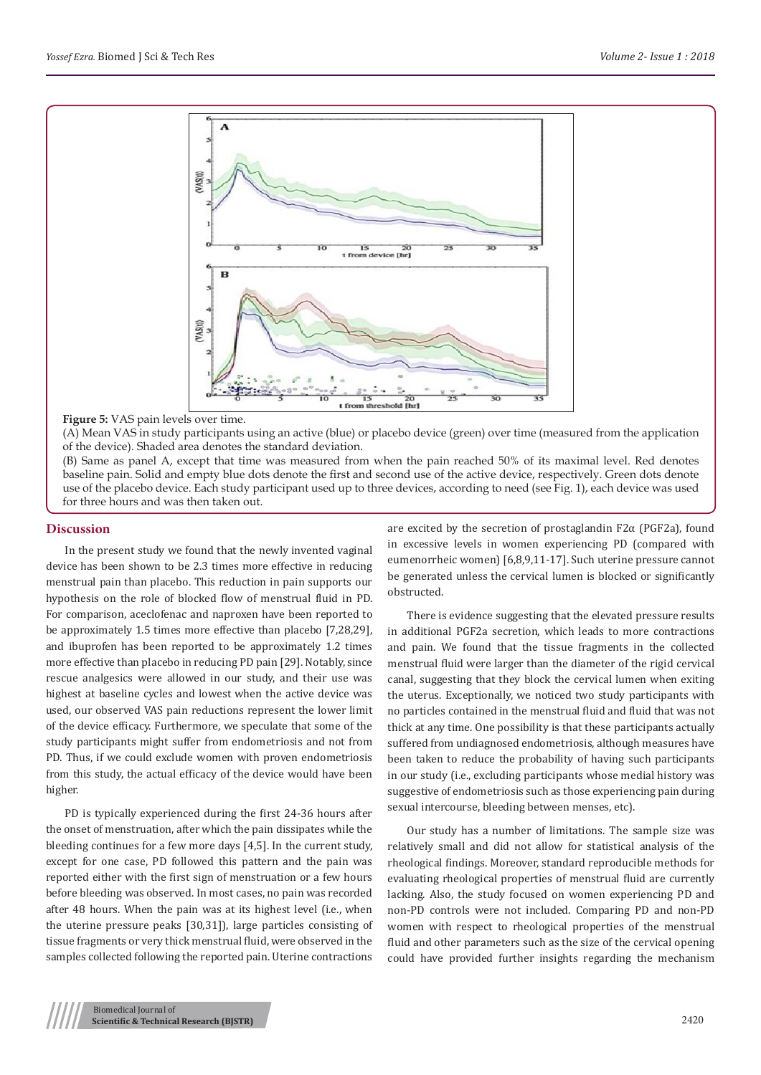

**Figure 5:** VAS pain levels over time.

(A) Mean VAS in study participants using an active (blue) or placebo device (green) over time (measured from the application of the device). Shaded area denotes the standard deviation.

(B) Same as panel A, except that time was measured from when the pain reached 50% of its maximal level. Red denotes baseline pain. Solid and empty blue dots denote the first and second use of the active device, respectively. Green dots denote use of the placebo device. Each study participant used up to three devices, according to need (see Fig. 1), each device was used for three hours and was then taken out.

### **Discussion**

In the present study we found that the newly invented vaginal device has been shown to be 2.3 times more effective in reducing menstrual pain than placebo. This reduction in pain supports our hypothesis on the role of blocked flow of menstrual fluid in PD. For comparison, aceclofenac and naproxen have been reported to be approximately 1.5 times more effective than placebo [7,28,29], and ibuprofen has been reported to be approximately 1.2 times more effective than placebo in reducing PD pain [29]. Notably, since rescue analgesics were allowed in our study, and their use was highest at baseline cycles and lowest when the active device was used, our observed VAS pain reductions represent the lower limit of the device efficacy. Furthermore, we speculate that some of the study participants might suffer from endometriosis and not from PD. Thus, if we could exclude women with proven endometriosis from this study, the actual efficacy of the device would have been higher.

PD is typically experienced during the first 24-36 hours after the onset of menstruation, after which the pain dissipates while the bleeding continues for a few more days [4,5]. In the current study, except for one case, PD followed this pattern and the pain was reported either with the first sign of menstruation or a few hours before bleeding was observed. In most cases, no pain was recorded after 48 hours. When the pain was at its highest level (i.e., when the uterine pressure peaks [30,31]), large particles consisting of tissue fragments or very thick menstrual fluid, were observed in the samples collected following the reported pain. Uterine contractions

are excited by the secretion of prostaglandin F2α (PGF2a), found in excessive levels in women experiencing PD (compared with eumenorrheic women) [6,8,9,11-17]. Such uterine pressure cannot be generated unless the cervical lumen is blocked or significantly obstructed.

There is evidence suggesting that the elevated pressure results in additional PGF2a secretion, which leads to more contractions and pain. We found that the tissue fragments in the collected menstrual fluid were larger than the diameter of the rigid cervical canal, suggesting that they block the cervical lumen when exiting the uterus. Exceptionally, we noticed two study participants with no particles contained in the menstrual fluid and fluid that was not thick at any time. One possibility is that these participants actually suffered from undiagnosed endometriosis, although measures have been taken to reduce the probability of having such participants in our study (i.e., excluding participants whose medial history was suggestive of endometriosis such as those experiencing pain during sexual intercourse, bleeding between menses, etc).

Our study has a number of limitations. The sample size was relatively small and did not allow for statistical analysis of the rheological findings. Moreover, standard reproducible methods for evaluating rheological properties of menstrual fluid are currently lacking. Also, the study focused on women experiencing PD and non-PD controls were not included. Comparing PD and non-PD women with respect to rheological properties of the menstrual fluid and other parameters such as the size of the cervical opening could have provided further insights regarding the mechanism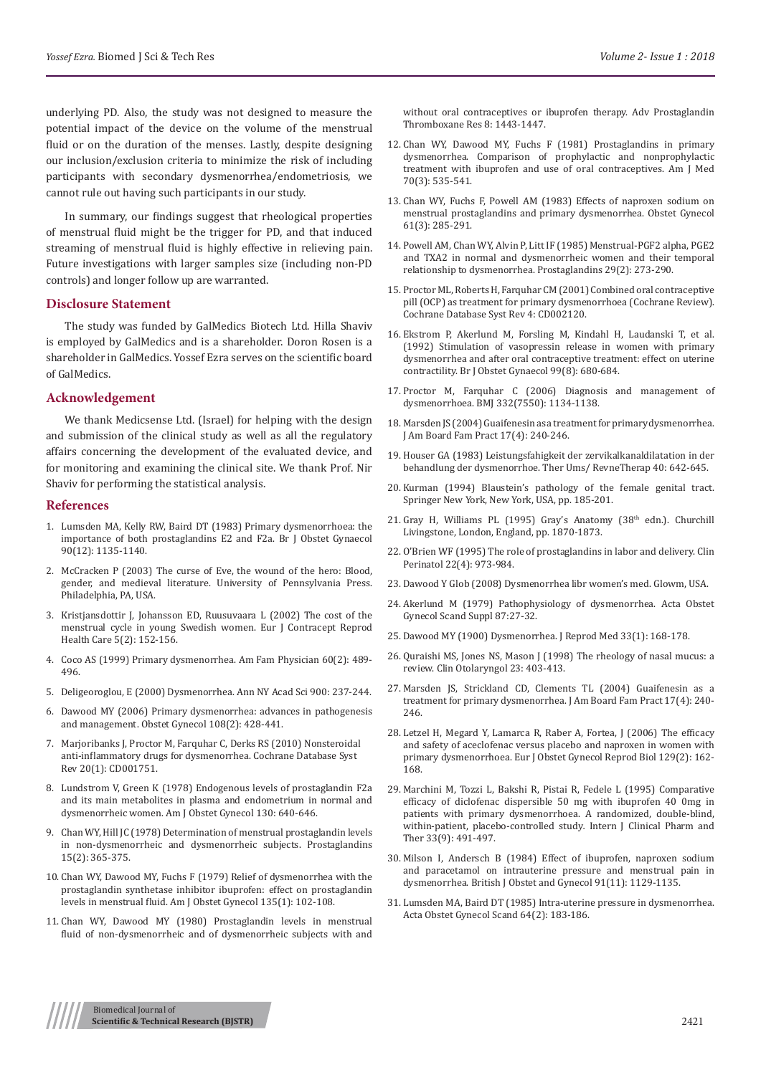underlying PD. Also, the study was not designed to measure the potential impact of the device on the volume of the menstrual fluid or on the duration of the menses. Lastly, despite designing our inclusion/exclusion criteria to minimize the risk of including participants with secondary dysmenorrhea/endometriosis, we cannot rule out having such participants in our study.

In summary, our findings suggest that rheological properties of menstrual fluid might be the trigger for PD, and that induced streaming of menstrual fluid is highly effective in relieving pain. Future investigations with larger samples size (including non-PD controls) and longer follow up are warranted.

#### **Disclosure Statement**

The study was funded by GalMedics Biotech Ltd. Hilla Shaviv is employed by GalMedics and is a shareholder. Doron Rosen is a shareholder in GalMedics. Yossef Ezra serves on the scientific board of GalMedics.

## **Acknowledgement**

We thank Medicsense Ltd. (Israel) for helping with the design and submission of the clinical study as well as all the regulatory affairs concerning the development of the evaluated device, and for monitoring and examining the clinical site. We thank Prof. Nir Shaviv for performing the statistical analysis.

#### **References**

- 1. [Lumsden MA, Kelly RW, Baird DT \(1983\) Primary dysmenorrhoea: the](https://www.ncbi.nlm.nih.gov/pubmed/6580910)  [importance of both prostaglandins E2 and F2a. Br J Obstet Gynaecol](https://www.ncbi.nlm.nih.gov/pubmed/6580910)  [90\(12\): 1135-1140.](https://www.ncbi.nlm.nih.gov/pubmed/6580910)
- 2. [McCracken P \(2003\) The curse of Eve, the wound of the hero: Blood,](https://muse.jhu.edu/book/3643)  [gender, and medieval literature. University of Pennsylvania Press.](https://muse.jhu.edu/book/3643)  [Philadelphia, PA, USA.](https://muse.jhu.edu/book/3643)
- 3. [Kristjansdottir J, Johansson ED, Ruusuvaara L \(2002\) The cost of the](https://www.ncbi.nlm.nih.gov/pubmed/10943579)  [menstrual cycle in young Swedish women. Eur J Contracept Reprod](https://www.ncbi.nlm.nih.gov/pubmed/10943579)  [Health Care 5\(2\): 152-156.](https://www.ncbi.nlm.nih.gov/pubmed/10943579)
- 4. [Coco AS \(1999\) Primary dysmenorrhea. Am Fam Physician 60\(2\): 489-](http://europepmc.org/abstract/med/10465224) [496.](http://europepmc.org/abstract/med/10465224)
- 5. [Deligeoroglou, E \(2000\) Dysmenorrhea. Ann NY Acad Sci 900: 237-244.](https://www.ncbi.nlm.nih.gov/pubmed/10818411)
- 6. [Dawood MY \(2006\) Primary dysmenorrhea: advances in pathogenesis](https://www.ncbi.nlm.nih.gov/pubmed/16880317)  [and management. Obstet Gynecol 108\(2\): 428-441.](https://www.ncbi.nlm.nih.gov/pubmed/16880317)
- 7. [Marjoribanks J, Proctor M, Farquhar C, Derks RS \(2010\) Nonsteroidal](https://www.ncbi.nlm.nih.gov/pubmed/20091521/)  [anti-inflammatory drugs for dysmenorrhea. Cochrane Database Syst](https://www.ncbi.nlm.nih.gov/pubmed/20091521/)  [Rev 20\(1\): CD001751.](https://www.ncbi.nlm.nih.gov/pubmed/20091521/)
- 8. [Lundstrom V, Green K \(1978\) Endogenous levels of prostaglandin F2a](http://www.ajog.org/article/0002-9378(78)90320-4/fulltext)  [and its main metabolites in plasma and endometrium in normal and](http://www.ajog.org/article/0002-9378(78)90320-4/fulltext)  [dysmenorrheic women. Am J Obstet Gynecol 130: 640-646.](http://www.ajog.org/article/0002-9378(78)90320-4/fulltext)
- 9. [Chan WY, Hill JC \(1978\) Determination of menstrual prostaglandin levels](https://www.ncbi.nlm.nih.gov/pubmed/635225)  [in non-dysmenorrheic and dysmenorrheic subjects. Prostaglandins](https://www.ncbi.nlm.nih.gov/pubmed/635225)  [15\(2\): 365-375.](https://www.ncbi.nlm.nih.gov/pubmed/635225)
- 10. [Chan WY, Dawood MY, Fuchs F \(1979\) Relief of dysmenorrhea with the](https://www.ncbi.nlm.nih.gov/pubmed/474640)  [prostaglandin synthetase inhibitor ibuprofen: effect on prostaglandin](https://www.ncbi.nlm.nih.gov/pubmed/474640)  [levels in menstrual fluid. Am J Obstet Gynecol 135\(1\): 102-108.](https://www.ncbi.nlm.nih.gov/pubmed/474640)
- 11. [Chan WY, Dawood MY \(1980\) Prostaglandin levels in menstrual](https://www.ncbi.nlm.nih.gov/pubmed/7376995)  [fluid of non-dysmenorrheic and of dysmenorrheic subjects with and](https://www.ncbi.nlm.nih.gov/pubmed/7376995)

[without oral contraceptives or ibuprofen therapy. Adv Prostaglandin](https://www.ncbi.nlm.nih.gov/pubmed/7376995) [Thromboxane Res 8: 1443-1447.](https://www.ncbi.nlm.nih.gov/pubmed/7376995)

- 12. [Chan WY, Dawood MY, Fuchs F \(1981\) Prostaglandins in primary](https://www.ncbi.nlm.nih.gov/pubmed/7011011) [dysmenorrhea. Comparison of prophylactic and nonprophylactic](https://www.ncbi.nlm.nih.gov/pubmed/7011011) [treatment with ibuprofen and use of oral contraceptives. Am J Med](https://www.ncbi.nlm.nih.gov/pubmed/7011011) [70\(3\): 535-541.](https://www.ncbi.nlm.nih.gov/pubmed/7011011)
- 13. [Chan WY, Fuchs F, Powell AM \(1983\) Effects of naproxen sodium on](https://www.ncbi.nlm.nih.gov/pubmed/6571974) [menstrual prostaglandins and primary dysmenorrhea. Obstet Gynecol](https://www.ncbi.nlm.nih.gov/pubmed/6571974) [61\(3\): 285-291.](https://www.ncbi.nlm.nih.gov/pubmed/6571974)
- 14. [Powell AM, Chan WY, Alvin P, Litt IF \(1985\) Menstrual-PGF2 alpha, PGE2](https://www.ncbi.nlm.nih.gov/pubmed/3856904) [and TXA2 in normal and dysmenorrheic women and their temporal](https://www.ncbi.nlm.nih.gov/pubmed/3856904) [relationship to dysmenorrhea. Prostaglandins](https://www.ncbi.nlm.nih.gov/pubmed/3856904) 29(2): 273-290.
- 15. [Proctor ML, Roberts H, Farquhar CM \(2001\) Combined oral contraceptive](https://www.ncbi.nlm.nih.gov/pubmed/11687142) [pill \(OCP\) as treatment for primary dysmenorrhoea \(Cochrane Review\).](https://www.ncbi.nlm.nih.gov/pubmed/11687142) [Cochrane Database Syst Rev 4: CD002120.](https://www.ncbi.nlm.nih.gov/pubmed/11687142)
- 16. [Ekstrom P, Akerlund M, Forsling M, Kindahl H, Laudanski T, et al.](https://www.ncbi.nlm.nih.gov/pubmed/1390475) [\(1992\) Stimulation of vasopressin release in women with primary](https://www.ncbi.nlm.nih.gov/pubmed/1390475) [dysmenorrhea and after oral contraceptive treatment: effect on uterine](https://www.ncbi.nlm.nih.gov/pubmed/1390475) [contractility. Br J Obstet Gynaecol 99\(8\): 680-684.](https://www.ncbi.nlm.nih.gov/pubmed/1390475)
- 17. [Proctor M, Farquhar C \(2006\) Diagnosis and management of](https://www.ncbi.nlm.nih.gov/pmc/articles/PMC1459624/) dysmenorrhoea. BMJ [332\(7550\): 1134-1138.](https://www.ncbi.nlm.nih.gov/pmc/articles/PMC1459624/)
- 18. [Marsden JS \(2004\) Guaifenesin as a treatment for primary dysmenorrhea.](https://www.ncbi.nlm.nih.gov/pubmed/15243011) [J Am Board Fam Pract 17\(4\): 240-246.](https://www.ncbi.nlm.nih.gov/pubmed/15243011)
- 19. Houser GA (1983) Leistungsfahigkeit der zervikalkanaldilatation in der behandlung der dysmenorrhoe. Ther Ums/ RevneTherap 40: 642-645.
- 20. [Kurman \(1994\) Blaustein's pathology of the female genital tract.](http://www.springer.com/in/book/9781441904881) [Springer New York, New York, USA, pp. 185-201.](http://www.springer.com/in/book/9781441904881)
- 21. Gray H, Williams PL (1995) Gray's Anatomy (38<sup>th</sup> edn.). Churchill Livingstone, London, England, pp. 1870-1873.
- 22. [O'Brien WF \(1995\) The role of prostaglandins in labor and delivery. Clin](https://www.ncbi.nlm.nih.gov/pubmed/8665768) [Perinatol 22\(4\): 973-984.](https://www.ncbi.nlm.nih.gov/pubmed/8665768)
- 23. [Dawood Y Glob \(2008\) Dysmenorrhea libr women's med. Glowm, USA.](http://editorial.glowm.com/index.html?p=glowm.cml/section_view&articleid=9)
- 24. [Akerlund M \(1979\) Pathophysiology of dysmenorrhea. Acta Obstet](http://onlinelibrary.wiley.com/doi/10.3109/00016347909157786/full) Gynecol Scand [Suppl 87:27-32.](http://onlinelibrary.wiley.com/doi/10.3109/00016347909157786/full)
- 25. [Dawood MY \(1900\) Dysmenorrhea. J Reprod Med 33\(1\): 168-178.](https://www.ncbi.nlm.nih.gov/pubmed/2178834)
- 26. [Quraishi MS, Jones NS, Mason J \(1998\) The rheology of nasal mucus: a](https://www.ncbi.nlm.nih.gov/pubmed/9800075) [review. Clin Otolaryngol 23: 403-413.](https://www.ncbi.nlm.nih.gov/pubmed/9800075)
- 27. [Marsden JS, Strickland CD, Clements TL \(2004\) Guaifenesin as a](https://www.ncbi.nlm.nih.gov/pubmed/15243011) [treatment for primary dysmenorrhea. J Am Board Fam Pract 17\(4\): 240-](https://www.ncbi.nlm.nih.gov/pubmed/15243011) [246.](https://www.ncbi.nlm.nih.gov/pubmed/15243011)
- 28. [Letzel H, Megard Y, Lamarca R, Raber A, Fortea, J \(2006\) The efficacy](https://www.ncbi.nlm.nih.gov/pubmed/16675091) [and safety of aceclofenac versus placebo and naproxen in women with](https://www.ncbi.nlm.nih.gov/pubmed/16675091) [primary dysmenorrhoea. Eur J Obstet Gynecol](https://www.ncbi.nlm.nih.gov/pubmed/16675091) Reprod Biol 129(2): 162- [168.](https://www.ncbi.nlm.nih.gov/pubmed/16675091)
- 29. [Marchini M, Tozzi L, Bakshi R, Pistai R, Fedele L \(1995\) Comparative](https://www.ncbi.nlm.nih.gov/pubmed/8520806) [efficacy of diclofenac dispersible 50 mg with ibuprofen 40 0mg in](https://www.ncbi.nlm.nih.gov/pubmed/8520806) [patients with primary dysmenorrhoea. A randomized, double-blind,](https://www.ncbi.nlm.nih.gov/pubmed/8520806) [within-patient, placebo-controlled study](https://www.ncbi.nlm.nih.gov/pubmed/8520806)*.* Intern J Clinical Pharm and [Ther 33\(9\): 491-497.](https://www.ncbi.nlm.nih.gov/pubmed/8520806)
- 30. [Milson I, Andersch B \(1984\) Effect of ibuprofen, naproxen sodium](https://www.ncbi.nlm.nih.gov/pubmed/6388624) [and paracetamol on intrauterine pressure and menstrual pain in](https://www.ncbi.nlm.nih.gov/pubmed/6388624) [dysmenorrhea. British J Obstet and Gynecol 91\(11\): 1129-1135.](https://www.ncbi.nlm.nih.gov/pubmed/6388624)
- 31. [Lumsden MA, Baird DT \(1985\) Intra-uterine pressure in dysmenorrhea.](https://www.ncbi.nlm.nih.gov/pubmed/3984694) [Acta Obstet Gynecol Scand 64\(2\): 183-186.](https://www.ncbi.nlm.nih.gov/pubmed/3984694)